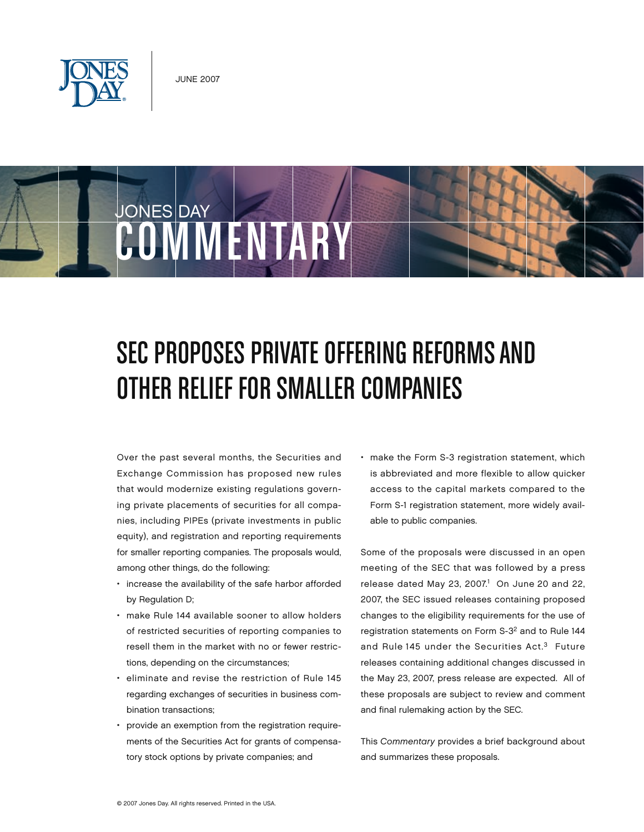



# SEC PROPOSES PRIVATE OFFERING REFORMS AND Other Relief for Smaller Companies

Over the past several months, the Securities and Exchange Commission has proposed new rules that would modernize existing regulations governing private placements of securities for all companies, including PIPEs (private investments in public equity), and registration and reporting requirements for smaller reporting companies. The proposals would, among other things, do the following:

- increase the availability of the safe harbor afforded by Regulation D;
- make Rule 144 available sooner to allow holders of restricted securities of reporting companies to resell them in the market with no or fewer restrictions, depending on the circumstances;
- eliminate and revise the restriction of Rule 145 regarding exchanges of securities in business combination transactions;
- provide an exemption from the registration requirements of the Securities Act for grants of compensatory stock options by private companies; and

• make the Form S-3 registration statement, which is abbreviated and more flexible to allow quicker access to the capital markets compared to the Form S-1 registration statement, more widely available to public companies.

Some of the proposals were discussed in an open meeting of the SEC that was followed by a press release dated May 23, 2007. $1$  On June 20 and 22, 2007, the SEC issued releases containing proposed changes to the eligibility requirements for the use of registration statements on Form S-32 and to Rule 144 and Rule 145 under the Securities Act.<sup>3</sup> Future releases containing additional changes discussed in the May 23, 2007, press release are expected. All of these proposals are subject to review and comment and final rulemaking action by the SEC.

This *Commentary* provides a brief background about and summarizes these proposals.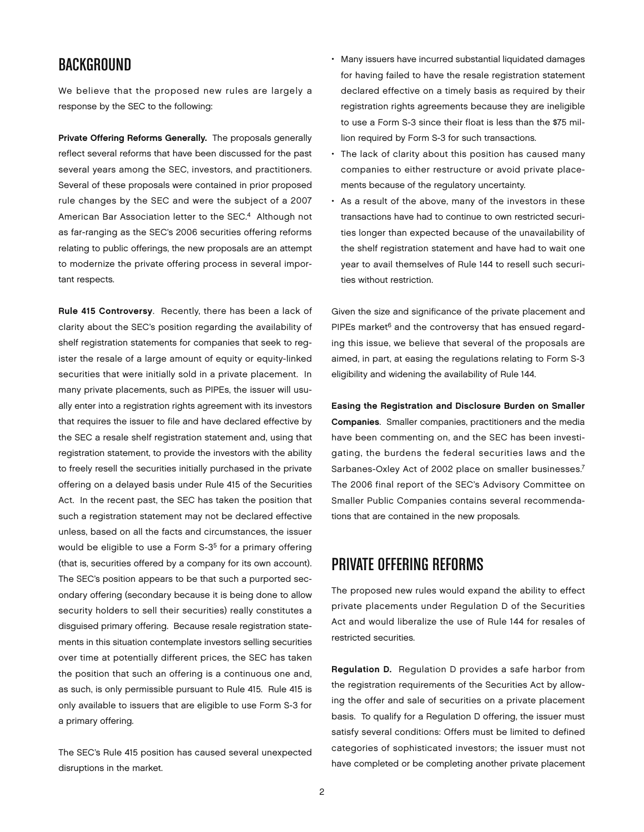## **BACKGROUND**

We believe that the proposed new rules are largely a response by the SEC to the following:

Private Offering Reforms Generally. The proposals generally reflect several reforms that have been discussed for the past several years among the SEC, investors, and practitioners. Several of these proposals were contained in prior proposed rule changes by the SEC and were the subject of a 2007 American Bar Association letter to the SEC.<sup>4</sup> Although not as far-ranging as the SEC's 2006 securities offering reforms relating to public offerings, the new proposals are an attempt to modernize the private offering process in several important respects.

Rule 415 Controversy. Recently, there has been a lack of clarity about the SEC's position regarding the availability of shelf registration statements for companies that seek to register the resale of a large amount of equity or equity-linked securities that were initially sold in a private placement. In many private placements, such as PIPEs, the issuer will usually enter into a registration rights agreement with its investors that requires the issuer to file and have declared effective by the SEC a resale shelf registration statement and, using that registration statement, to provide the investors with the ability to freely resell the securities initially purchased in the private offering on a delayed basis under Rule 415 of the Securities Act. In the recent past, the SEC has taken the position that such a registration statement may not be declared effective unless, based on all the facts and circumstances, the issuer would be eligible to use a Form S-35 for a primary offering (that is, securities offered by a company for its own account). The SEC's position appears to be that such a purported secondary offering (secondary because it is being done to allow security holders to sell their securities) really constitutes a disguised primary offering. Because resale registration statements in this situation contemplate investors selling securities over time at potentially different prices, the SEC has taken the position that such an offering is a continuous one and, as such, is only permissible pursuant to Rule 415. Rule 415 is only available to issuers that are eligible to use Form S-3 for a primary offering.

The SEC's Rule 415 position has caused several unexpected disruptions in the market.

- Many issuers have incurred substantial liquidated damages for having failed to have the resale registration statement declared effective on a timely basis as required by their registration rights agreements because they are ineligible to use a Form S-3 since their float is less than the \$75 million required by Form S-3 for such transactions.
- The lack of clarity about this position has caused many companies to either restructure or avoid private placements because of the regulatory uncertainty.
- As a result of the above, many of the investors in these transactions have had to continue to own restricted securities longer than expected because of the unavailability of the shelf registration statement and have had to wait one year to avail themselves of Rule 144 to resell such securities without restriction.

Given the size and significance of the private placement and PIPEs market $6$  and the controversy that has ensued regarding this issue, we believe that several of the proposals are aimed, in part, at easing the regulations relating to Form S-3 eligibility and widening the availability of Rule 144.

Easing the Registration and Disclosure Burden on Smaller Companies. Smaller companies, practitioners and the media have been commenting on, and the SEC has been investigating, the burdens the federal securities laws and the Sarbanes-Oxley Act of 2002 place on smaller businesses.<sup>7</sup> The 2006 final report of the SEC's Advisory Committee on Smaller Public Companies contains several recommendations that are contained in the new proposals.

## Private Offering Reforms

The proposed new rules would expand the ability to effect private placements under Regulation D of the Securities Act and would liberalize the use of Rule 144 for resales of restricted securities.

Regulation D. Regulation D provides a safe harbor from the registration requirements of the Securities Act by allowing the offer and sale of securities on a private placement basis. To qualify for a Regulation D offering, the issuer must satisfy several conditions: Offers must be limited to defined categories of sophisticated investors; the issuer must not have completed or be completing another private placement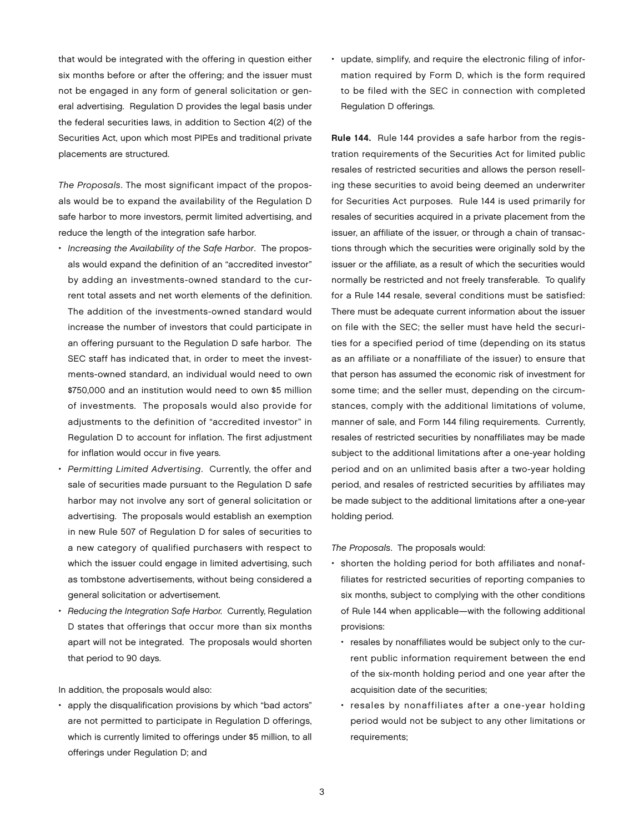that would be integrated with the offering in question either six months before or after the offering; and the issuer must not be engaged in any form of general solicitation or general advertising. Regulation D provides the legal basis under the federal securities laws, in addition to Section 4(2) of the Securities Act, upon which most PIPEs and traditional private placements are structured.

*The Proposals*. The most significant impact of the proposals would be to expand the availability of the Regulation D safe harbor to more investors, permit limited advertising, and reduce the length of the integration safe harbor.

- *Increasing the Availability of the Safe Harbor*. The proposals would expand the definition of an "accredited investor" by adding an investments-owned standard to the current total assets and net worth elements of the definition. The addition of the investments-owned standard would increase the number of investors that could participate in an offering pursuant to the Regulation D safe harbor. The SEC staff has indicated that, in order to meet the investments-owned standard, an individual would need to own \$750,000 and an institution would need to own \$5 million of investments. The proposals would also provide for adjustments to the definition of "accredited investor" in Regulation D to account for inflation. The first adjustment for inflation would occur in five years.
- *Permitting Limited Advertising*. Currently, the offer and sale of securities made pursuant to the Regulation D safe harbor may not involve any sort of general solicitation or advertising. The proposals would establish an exemption in new Rule 507 of Regulation D for sales of securities to a new category of qualified purchasers with respect to which the issuer could engage in limited advertising, such as tombstone advertisements, without being considered a general solicitation or advertisement.
- *Reducing the Integration Safe Harbor.* Currently, Regulation D states that offerings that occur more than six months apart will not be integrated. The proposals would shorten that period to 90 days.

In addition, the proposals would also:

• apply the disqualification provisions by which "bad actors" are not permitted to participate in Regulation D offerings, which is currently limited to offerings under \$5 million, to all offerings under Regulation D; and

• update, simplify, and require the electronic filing of information required by Form D, which is the form required to be filed with the SEC in connection with completed Regulation D offerings.

Rule 144. Rule 144 provides a safe harbor from the registration requirements of the Securities Act for limited public resales of restricted securities and allows the person reselling these securities to avoid being deemed an underwriter for Securities Act purposes. Rule 144 is used primarily for resales of securities acquired in a private placement from the issuer, an affiliate of the issuer, or through a chain of transactions through which the securities were originally sold by the issuer or the affiliate, as a result of which the securities would normally be restricted and not freely transferable. To qualify for a Rule 144 resale, several conditions must be satisfied: There must be adequate current information about the issuer on file with the SEC; the seller must have held the securities for a specified period of time (depending on its status as an affiliate or a nonaffiliate of the issuer) to ensure that that person has assumed the economic risk of investment for some time; and the seller must, depending on the circumstances, comply with the additional limitations of volume, manner of sale, and Form 144 filing requirements. Currently, resales of restricted securities by nonaffiliates may be made subject to the additional limitations after a one-year holding period and on an unlimited basis after a two-year holding period, and resales of restricted securities by affiliates may be made subject to the additional limitations after a one-year holding period.

*The Proposals*. The proposals would:

- shorten the holding period for both affiliates and nonaffiliates for restricted securities of reporting companies to six months, subject to complying with the other conditions of Rule 144 when applicable—with the following additional provisions:
	- resales by nonaffiliates would be subject only to the current public information requirement between the end of the six-month holding period and one year after the acquisition date of the securities;
	- resales by nonaffiliates after a one-year holding period would not be subject to any other limitations or requirements;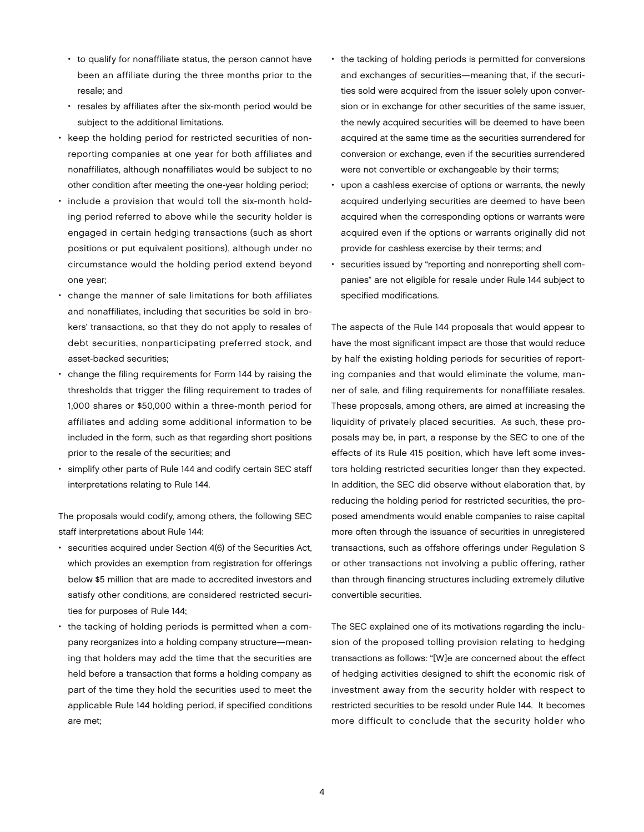- to qualify for nonaffiliate status, the person cannot have been an affiliate during the three months prior to the resale; and
- resales by affiliates after the six-month period would be subject to the additional limitations.
- keep the holding period for restricted securities of nonreporting companies at one year for both affiliates and nonaffiliates, although nonaffiliates would be subject to no other condition after meeting the one-year holding period;
- include a provision that would toll the six-month holding period referred to above while the security holder is engaged in certain hedging transactions (such as short positions or put equivalent positions), although under no circumstance would the holding period extend beyond one year;
- change the manner of sale limitations for both affiliates and nonaffiliates, including that securities be sold in brokers' transactions, so that they do not apply to resales of debt securities, nonparticipating preferred stock, and asset-backed securities;
- change the filing requirements for Form 144 by raising the thresholds that trigger the filing requirement to trades of 1,000 shares or \$50,000 within a three-month period for affiliates and adding some additional information to be included in the form, such as that regarding short positions prior to the resale of the securities; and
- simplify other parts of Rule 144 and codify certain SEC staff interpretations relating to Rule 144.

The proposals would codify, among others, the following SEC staff interpretations about Rule 144:

- securities acquired under Section 4(6) of the Securities Act, which provides an exemption from registration for offerings below \$5 million that are made to accredited investors and satisfy other conditions, are considered restricted securities for purposes of Rule 144;
- the tacking of holding periods is permitted when a company reorganizes into a holding company structure—meaning that holders may add the time that the securities are held before a transaction that forms a holding company as part of the time they hold the securities used to meet the applicable Rule 144 holding period, if specified conditions are met;
- the tacking of holding periods is permitted for conversions and exchanges of securities—meaning that, if the securities sold were acquired from the issuer solely upon conversion or in exchange for other securities of the same issuer, the newly acquired securities will be deemed to have been acquired at the same time as the securities surrendered for conversion or exchange, even if the securities surrendered were not convertible or exchangeable by their terms;
- upon a cashless exercise of options or warrants, the newly acquired underlying securities are deemed to have been acquired when the corresponding options or warrants were acquired even if the options or warrants originally did not provide for cashless exercise by their terms; and
- securities issued by "reporting and nonreporting shell companies" are not eligible for resale under Rule 144 subject to specified modifications.

The aspects of the Rule 144 proposals that would appear to have the most significant impact are those that would reduce by half the existing holding periods for securities of reporting companies and that would eliminate the volume, manner of sale, and filing requirements for nonaffiliate resales. These proposals, among others, are aimed at increasing the liquidity of privately placed securities. As such, these proposals may be, in part, a response by the SEC to one of the effects of its Rule 415 position, which have left some investors holding restricted securities longer than they expected. In addition, the SEC did observe without elaboration that, by reducing the holding period for restricted securities, the proposed amendments would enable companies to raise capital more often through the issuance of securities in unregistered transactions, such as offshore offerings under Regulation S or other transactions not involving a public offering, rather than through financing structures including extremely dilutive convertible securities.

The SEC explained one of its motivations regarding the inclusion of the proposed tolling provision relating to hedging transactions as follows: "[W]e are concerned about the effect of hedging activities designed to shift the economic risk of investment away from the security holder with respect to restricted securities to be resold under Rule 144. It becomes more difficult to conclude that the security holder who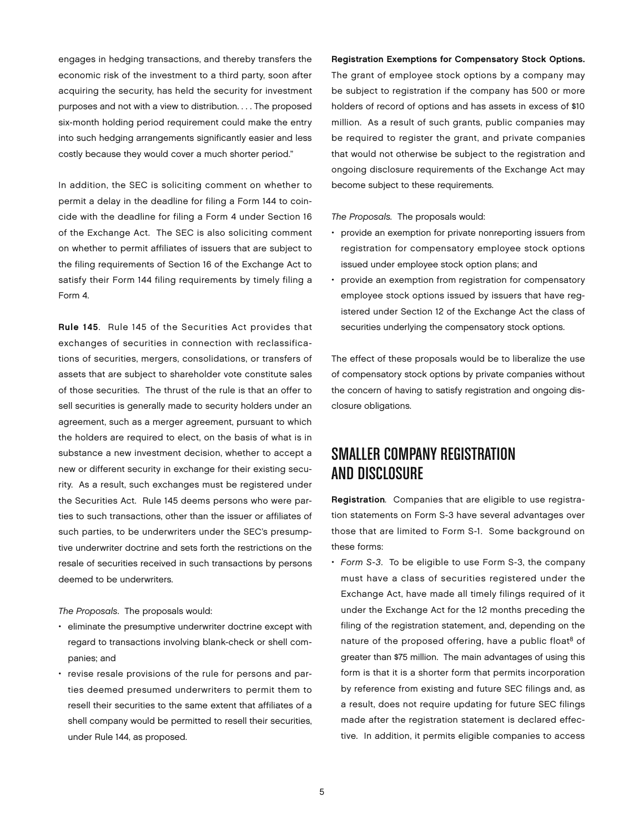engages in hedging transactions, and thereby transfers the economic risk of the investment to a third party, soon after acquiring the security, has held the security for investment purposes and not with a view to distribution. . . . The proposed six-month holding period requirement could make the entry into such hedging arrangements significantly easier and less costly because they would cover a much shorter period."

In addition, the SEC is soliciting comment on whether to permit a delay in the deadline for filing a Form 144 to coincide with the deadline for filing a Form 4 under Section 16 of the Exchange Act. The SEC is also soliciting comment on whether to permit affiliates of issuers that are subject to the filing requirements of Section 16 of the Exchange Act to satisfy their Form 144 filing requirements by timely filing a Form 4.

Rule 145. Rule 145 of the Securities Act provides that exchanges of securities in connection with reclassifications of securities, mergers, consolidations, or transfers of assets that are subject to shareholder vote constitute sales of those securities. The thrust of the rule is that an offer to sell securities is generally made to security holders under an agreement, such as a merger agreement, pursuant to which the holders are required to elect, on the basis of what is in substance a new investment decision, whether to accept a new or different security in exchange for their existing security. As a result, such exchanges must be registered under the Securities Act. Rule 145 deems persons who were parties to such transactions, other than the issuer or affiliates of such parties, to be underwriters under the SEC's presumptive underwriter doctrine and sets forth the restrictions on the resale of securities received in such transactions by persons deemed to be underwriters.

*The Proposals*. The proposals would:

- eliminate the presumptive underwriter doctrine except with regard to transactions involving blank-check or shell companies; and
- revise resale provisions of the rule for persons and parties deemed presumed underwriters to permit them to resell their securities to the same extent that affiliates of a shell company would be permitted to resell their securities, under Rule 144, as proposed.

#### Registration Exemptions for Compensatory Stock Options.

The grant of employee stock options by a company may be subject to registration if the company has 500 or more holders of record of options and has assets in excess of \$10 million. As a result of such grants, public companies may be required to register the grant, and private companies that would not otherwise be subject to the registration and ongoing disclosure requirements of the Exchange Act may become subject to these requirements.

*The Proposals.* The proposals would:

- provide an exemption for private nonreporting issuers from registration for compensatory employee stock options issued under employee stock option plans; and
- provide an exemption from registration for compensatory employee stock options issued by issuers that have registered under Section 12 of the Exchange Act the class of securities underlying the compensatory stock options.

The effect of these proposals would be to liberalize the use of compensatory stock options by private companies without the concern of having to satisfy registration and ongoing disclosure obligations.

# Smaller Company Registration and Disclosure

Registration*.* Companies that are eligible to use registration statements on Form S-3 have several advantages over those that are limited to Form S-1. Some background on these forms:

• *Form S-3*. To be eligible to use Form S-3, the company must have a class of securities registered under the Exchange Act, have made all timely filings required of it under the Exchange Act for the 12 months preceding the filing of the registration statement, and, depending on the nature of the proposed offering, have a public float<sup>8</sup> of greater than \$75 million. The main advantages of using this form is that it is a shorter form that permits incorporation by reference from existing and future SEC filings and, as a result, does not require updating for future SEC filings made after the registration statement is declared effective. In addition, it permits eligible companies to access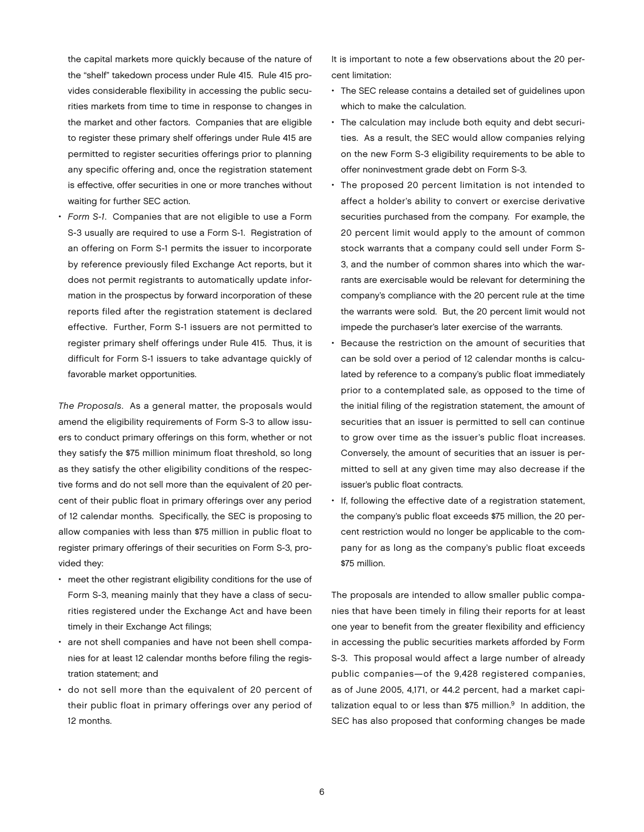the capital markets more quickly because of the nature of the "shelf" takedown process under Rule 415. Rule 415 provides considerable flexibility in accessing the public securities markets from time to time in response to changes in the market and other factors. Companies that are eligible to register these primary shelf offerings under Rule 415 are permitted to register securities offerings prior to planning any specific offering and, once the registration statement is effective, offer securities in one or more tranches without waiting for further SEC action.

• *Form S-1*. Companies that are not eligible to use a Form S-3 usually are required to use a Form S-1. Registration of an offering on Form S-1 permits the issuer to incorporate by reference previously filed Exchange Act reports, but it does not permit registrants to automatically update information in the prospectus by forward incorporation of these reports filed after the registration statement is declared effective. Further, Form S-1 issuers are not permitted to register primary shelf offerings under Rule 415. Thus, it is difficult for Form S-1 issuers to take advantage quickly of favorable market opportunities.

*The Proposals*. As a general matter, the proposals would amend the eligibility requirements of Form S-3 to allow issuers to conduct primary offerings on this form, whether or not they satisfy the \$75 million minimum float threshold, so long as they satisfy the other eligibility conditions of the respective forms and do not sell more than the equivalent of 20 percent of their public float in primary offerings over any period of 12 calendar months. Specifically, the SEC is proposing to allow companies with less than \$75 million in public float to register primary offerings of their securities on Form S-3, provided they:

- meet the other registrant eligibility conditions for the use of Form S-3, meaning mainly that they have a class of securities registered under the Exchange Act and have been timely in their Exchange Act filings;
- are not shell companies and have not been shell companies for at least 12 calendar months before filing the registration statement; and
- do not sell more than the equivalent of 20 percent of their public float in primary offerings over any period of 12 months.

It is important to note a few observations about the 20 percent limitation:

- The SEC release contains a detailed set of guidelines upon which to make the calculation.
- The calculation may include both equity and debt securities. As a result, the SEC would allow companies relying on the new Form S-3 eligibility requirements to be able to offer noninvestment grade debt on Form S-3.
- The proposed 20 percent limitation is not intended to affect a holder's ability to convert or exercise derivative securities purchased from the company. For example, the 20 percent limit would apply to the amount of common stock warrants that a company could sell under Form S-3, and the number of common shares into which the warrants are exercisable would be relevant for determining the company's compliance with the 20 percent rule at the time the warrants were sold. But, the 20 percent limit would not impede the purchaser's later exercise of the warrants.
- Because the restriction on the amount of securities that can be sold over a period of 12 calendar months is calculated by reference to a company's public float immediately prior to a contemplated sale, as opposed to the time of the initial filing of the registration statement, the amount of securities that an issuer is permitted to sell can continue to grow over time as the issuer's public float increases. Conversely, the amount of securities that an issuer is permitted to sell at any given time may also decrease if the issuer's public float contracts.
- If, following the effective date of a registration statement, the company's public float exceeds \$75 million, the 20 percent restriction would no longer be applicable to the company for as long as the company's public float exceeds \$75 million.

The proposals are intended to allow smaller public companies that have been timely in filing their reports for at least one year to benefit from the greater flexibility and efficiency in accessing the public securities markets afforded by Form S-3. This proposal would affect a large number of already public companies—of the 9,428 registered companies, as of June 2005, 4,171, or 44.2 percent, had a market capitalization equal to or less than  $$75$  million.<sup>9</sup> In addition, the SEC has also proposed that conforming changes be made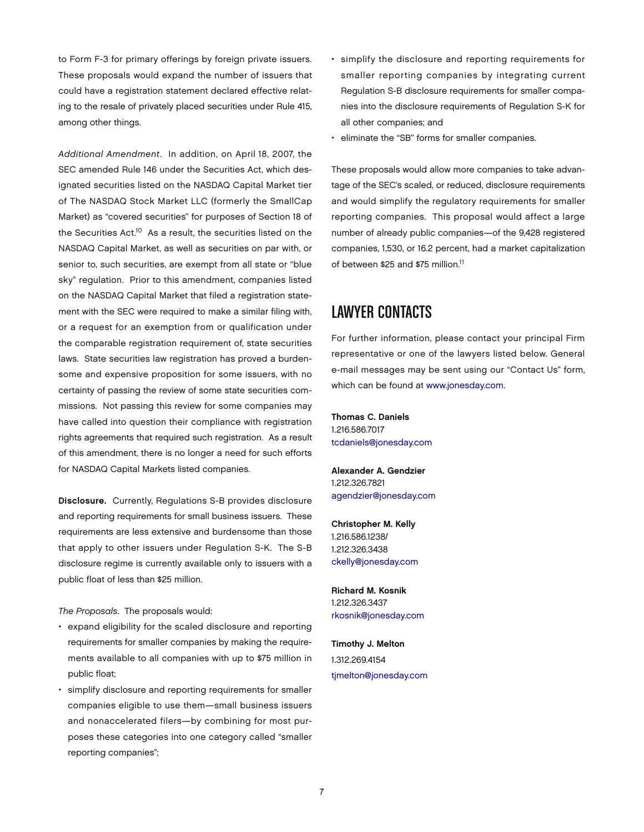to Form F-3 for primary offerings by foreign private issuers. These proposals would expand the number of issuers that could have a registration statement declared effective relating to the resale of privately placed securities under Rule 415, among other things.

*Additional Amendment*. In addition, on April 18, 2007, the SEC amended Rule 146 under the Securities Act, which designated securities listed on the NASDAQ Capital Market tier of The NASDAQ Stock Market LLC (formerly the SmallCap Market) as "covered securities" for purposes of Section 18 of the Securities Act.<sup>10</sup> As a result, the securities listed on the NASDAQ Capital Market, as well as securities on par with, or senior to, such securities, are exempt from all state or "blue sky" regulation. Prior to this amendment, companies listed on the NASDAQ Capital Market that filed a registration statement with the SEC were required to make a similar filing with, or a request for an exemption from or qualification under the comparable registration requirement of, state securities laws. State securities law registration has proved a burdensome and expensive proposition for some issuers, with no certainty of passing the review of some state securities commissions. Not passing this review for some companies may have called into question their compliance with registration rights agreements that required such registration. As a result of this amendment, there is no longer a need for such efforts for NASDAQ Capital Markets listed companies.

Disclosure. Currently, Regulations S-B provides disclosure and reporting requirements for small business issuers. These requirements are less extensive and burdensome than those that apply to other issuers under Regulation S-K. The S-B disclosure regime is currently available only to issuers with a public float of less than \$25 million.

*The Proposals*. The proposals would:

- expand eligibility for the scaled disclosure and reporting requirements for smaller companies by making the requirements available to all companies with up to \$75 million in public float;
- simplify disclosure and reporting requirements for smaller companies eligible to use them—small business issuers and nonaccelerated filers—by combining for most purposes these categories into one category called "smaller reporting companies";
- simplify the disclosure and reporting requirements for smaller reporting companies by integrating current Regulation S-B disclosure requirements for smaller companies into the disclosure requirements of Regulation S-K for all other companies; and
- eliminate the "SB" forms for smaller companies.

These proposals would allow more companies to take advantage of the SEC's scaled, or reduced, disclosure requirements and would simplify the regulatory requirements for smaller reporting companies. This proposal would affect a large number of already public companies—of the 9,428 registered companies, 1,530, or 16.2 percent, had a market capitalization of between \$25 and \$75 million.11

## Lawyer Contacts

For further information, please contact your principal Firm representative or one of the lawyers listed below. General e-mail messages may be sent using our "Contact Us" form, which can be found at [www.jonesday.com.](http://www.jonesday.com)

Thomas C. Daniels 1.216.586.7017 [tcdaniels@jonesday.com](mailto:tcdaniels@jonesday.com)

Alexander A. Gendzier 1.212.326.7821 [agendzier@jonesday.com](mailto:agendzier@jonesday.com)

Christopher M. Kelly 1.216.586.1238/ 1.212.326.3438 [ckelly@jonesday.com](mailto:ckelly@jonesday.com)

Richard M. Kosnik 1.212.326.3437 [rkosnik@jonesday.com](mailto:rkosnik@jonesday.com)

Timothy J. Melton 1.312.269.4154 [tjmelton@jonesday.com](mailto:tjmelton@jonesday.com)